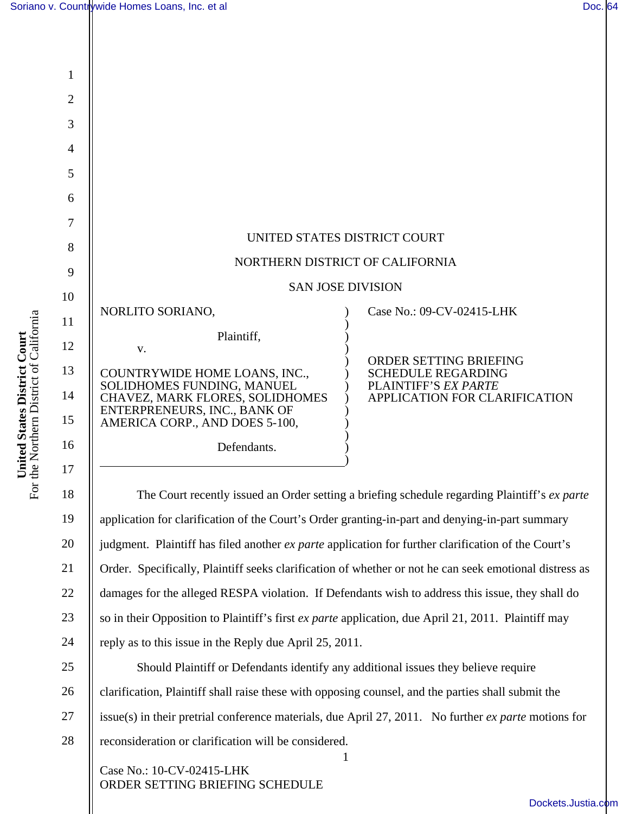

For the Northern District of California United States District Court<br>For the Northern District of California **United States District Court**